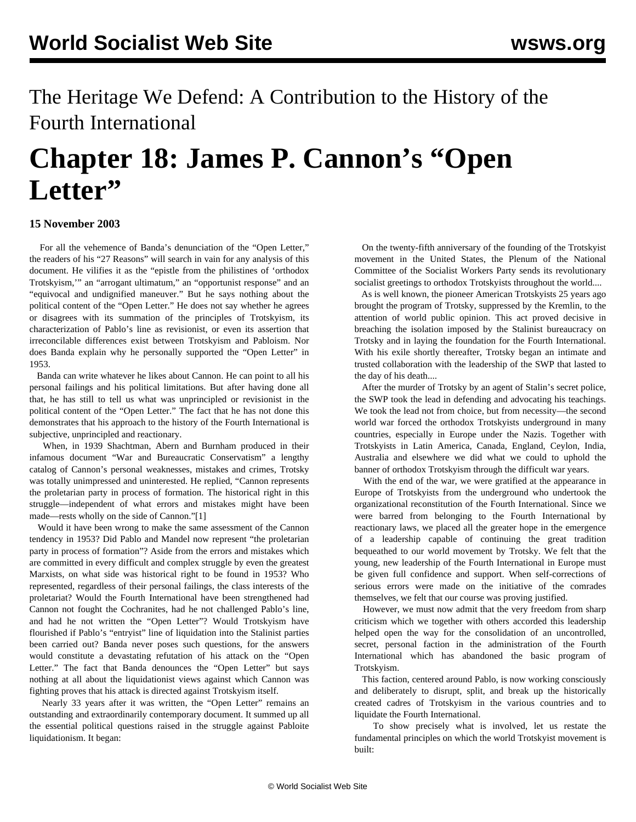## The Heritage We Defend: A Contribution to the History of the Fourth International

## **Chapter 18: James P. Cannon's "Open** Letter"

## **15 November 2003**

 For all the vehemence of Banda's denunciation of the "Open Letter," the readers of his "27 Reasons" will search in vain for any analysis of this document. He vilifies it as the "epistle from the philistines of 'orthodox Trotskyism,'" an "arrogant ultimatum," an "opportunist response" and an "equivocal and undignified maneuver." But he says nothing about the political content of the "Open Letter." He does not say whether he agrees or disagrees with its summation of the principles of Trotskyism, its characterization of Pablo's line as revisionist, or even its assertion that irreconcilable differences exist between Trotskyism and Pabloism. Nor does Banda explain why he personally supported the "Open Letter" in 1953.

 Banda can write whatever he likes about Cannon. He can point to all his personal failings and his political limitations. But after having done all that, he has still to tell us what was unprincipled or revisionist in the political content of the "Open Letter." The fact that he has not done this demonstrates that his approach to the history of the Fourth International is subjective, unprincipled and reactionary.

 When, in 1939 Shachtman, Abern and Burnham produced in their infamous document "War and Bureaucratic Conservatism" a lengthy catalog of Cannon's personal weaknesses, mistakes and crimes, Trotsky was totally unimpressed and uninterested. He replied, "Cannon represents the proletarian party in process of formation. The historical right in this struggle—independent of what errors and mistakes might have been made—rests wholly on the side of Cannon."[1]

 Would it have been wrong to make the same assessment of the Cannon tendency in 1953? Did Pablo and Mandel now represent "the proletarian party in process of formation"? Aside from the errors and mistakes which are committed in every difficult and complex struggle by even the greatest Marxists, on what side was historical right to be found in 1953? Who represented, regardless of their personal failings, the class interests of the proletariat? Would the Fourth International have been strengthened had Cannon not fought the Cochranites, had he not challenged Pablo's line, and had he not written the "Open Letter"? Would Trotskyism have flourished if Pablo's "entryist" line of liquidation into the Stalinist parties been carried out? Banda never poses such questions, for the answers would constitute a devastating refutation of his attack on the "Open Letter." The fact that Banda denounces the "Open Letter" but says nothing at all about the liquidationist views against which Cannon was fighting proves that his attack is directed against Trotskyism itself.

 Nearly 33 years after it was written, the "Open Letter" remains an outstanding and extraordinarily contemporary document. It summed up all the essential political questions raised in the struggle against Pabloite liquidationism. It began:

 On the twenty-fifth anniversary of the founding of the Trotskyist movement in the United States, the Plenum of the National Committee of the Socialist Workers Party sends its revolutionary socialist greetings to orthodox Trotskyists throughout the world....

 As is well known, the pioneer American Trotskyists 25 years ago brought the program of Trotsky, suppressed by the Kremlin, to the attention of world public opinion. This act proved decisive in breaching the isolation imposed by the Stalinist bureaucracy on Trotsky and in laying the foundation for the Fourth International. With his exile shortly thereafter, Trotsky began an intimate and trusted collaboration with the leadership of the SWP that lasted to the day of his death....

 After the murder of Trotsky by an agent of Stalin's secret police, the SWP took the lead in defending and advocating his teachings. We took the lead not from choice, but from necessity—the second world war forced the orthodox Trotskyists underground in many countries, especially in Europe under the Nazis. Together with Trotskyists in Latin America, Canada, England, Ceylon, India, Australia and elsewhere we did what we could to uphold the banner of orthodox Trotskyism through the difficult war years.

 With the end of the war, we were gratified at the appearance in Europe of Trotskyists from the underground who undertook the organizational reconstitution of the Fourth International. Since we were barred from belonging to the Fourth International by reactionary laws, we placed all the greater hope in the emergence of a leadership capable of continuing the great tradition bequeathed to our world movement by Trotsky. We felt that the young, new leadership of the Fourth International in Europe must be given full confidence and support. When self-corrections of serious errors were made on the initiative of the comrades themselves, we felt that our course was proving justified.

 However, we must now admit that the very freedom from sharp criticism which we together with others accorded this leadership helped open the way for the consolidation of an uncontrolled, secret, personal faction in the administration of the Fourth International which has abandoned the basic program of Trotskyism.

 This faction, centered around Pablo, is now working consciously and deliberately to disrupt, split, and break up the historically created cadres of Trotskyism in the various countries and to liquidate the Fourth International.

 To show precisely what is involved, let us restate the fundamental principles on which the world Trotskyist movement is built: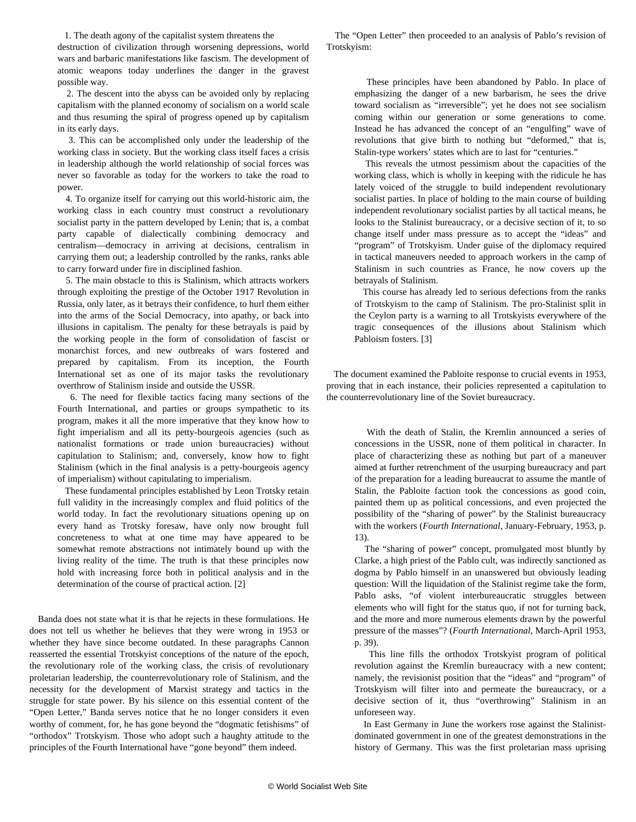1. The death agony of the capitalist system threatens the

destruction of civilization through worsening depressions, world wars and barbaric manifestations like fascism. The development of atomic weapons today underlines the danger in the gravest possible way.

 2. The descent into the abyss can be avoided only by replacing capitalism with the planned economy of socialism on a world scale and thus resuming the spiral of progress opened up by capitalism in its early days.

 3. This can be accomplished only under the leadership of the working class in society. But the working class itself faces a crisis in leadership although the world relationship of social forces was never so favorable as today for the workers to take the road to power.

 4. To organize itself for carrying out this world-historic aim, the working class in each country must construct a revolutionary socialist party in the pattern developed by Lenin; that is, a combat party capable of dialectically combining democracy and centralism—democracy in arriving at decisions, centralism in carrying them out; a leadership controlled by the ranks, ranks able to carry forward under fire in disciplined fashion.

 5. The main obstacle to this is Stalinism, which attracts workers through exploiting the prestige of the October 1917 Revolution in Russia, only later, as it betrays their confidence, to hurl them either into the arms of the Social Democracy, into apathy, or back into illusions in capitalism. The penalty for these betrayals is paid by the working people in the form of consolidation of fascist or monarchist forces, and new outbreaks of wars fostered and prepared by capitalism. From its inception, the Fourth International set as one of its major tasks the revolutionary overthrow of Stalinism inside and outside the USSR.

 6. The need for flexible tactics facing many sections of the Fourth International, and parties or groups sympathetic to its program, makes it all the more imperative that they know how to fight imperialism and all its petty-bourgeois agencies (such as nationalist formations or trade union bureaucracies) without capitulation to Stalinism; and, conversely, know how to fight Stalinism (which in the final analysis is a petty-bourgeois agency of imperialism) without capitulating to imperialism.

 These fundamental principles established by Leon Trotsky retain full validity in the increasingly complex and fluid politics of the world today. In fact the revolutionary situations opening up on every hand as Trotsky foresaw, have only now brought full concreteness to what at one time may have appeared to be somewhat remote abstractions not intimately bound up with the living reality of the time. The truth is that these principles now hold with increasing force both in political analysis and in the determination of the course of practical action. [2]

 Banda does not state what it is that he rejects in these formulations. He does not tell us whether he believes that they were wrong in 1953 or whether they have since become outdated. In these paragraphs Cannon reasserted the essential Trotskyist conceptions of the nature of the epoch, the revolutionary role of the working class, the crisis of revolutionary proletarian leadership, the counterrevolutionary role of Stalinism, and the necessity for the development of Marxist strategy and tactics in the struggle for state power. By his silence on this essential content of the "Open Letter," Banda serves notice that he no longer considers it even worthy of comment, for, he has gone beyond the "dogmatic fetishisms" of "orthodox" Trotskyism. Those who adopt such a haughty attitude to the principles of the Fourth International have "gone beyond" them indeed.

 The "Open Letter" then proceeded to an analysis of Pablo's revision of Trotskyism:

 These principles have been abandoned by Pablo. In place of emphasizing the danger of a new barbarism, he sees the drive toward socialism as "irreversible"; yet he does not see socialism coming within our generation or some generations to come. Instead he has advanced the concept of an "engulfing" wave of revolutions that give birth to nothing but "deformed," that is, Stalin-type workers' states which are to last for "centuries."

 This reveals the utmost pessimism about the capacities of the working class, which is wholly in keeping with the ridicule he has lately voiced of the struggle to build independent revolutionary socialist parties. In place of holding to the main course of building independent revolutionary socialist parties by all tactical means, he looks to the Stalinist bureaucracy, or a decisive section of it, to so change itself under mass pressure as to accept the "ideas" and "program" of Trotskyism. Under guise of the diplomacy required in tactical maneuvers needed to approach workers in the camp of Stalinism in such countries as France, he now covers up the betrayals of Stalinism.

 This course has already led to serious defections from the ranks of Trotskyism to the camp of Stalinism. The pro-Stalinist split in the Ceylon party is a warning to all Trotskyists everywhere of the tragic consequences of the illusions about Stalinism which Pabloism fosters. [3]

 The document examined the Pabloite response to crucial events in 1953, proving that in each instance, their policies represented a capitulation to the counterrevolutionary line of the Soviet bureaucracy.

 With the death of Stalin, the Kremlin announced a series of concessions in the USSR, none of them political in character. In place of characterizing these as nothing but part of a maneuver aimed at further retrenchment of the usurping bureaucracy and part of the preparation for a leading bureaucrat to assume the mantle of Stalin, the Pabloite faction took the concessions as good coin, painted them up as political concessions, and even projected the possibility of the "sharing of power" by the Stalinist bureaucracy with the workers (*Fourth International*, January-February, 1953, p. 13).

 The "sharing of power" concept, promulgated most bluntly by Clarke, a high priest of the Pablo cult, was indirectly sanctioned as dogma by Pablo himself in an unanswered but obviously leading question: Will the liquidation of the Stalinist regime take the form, Pablo asks, "of violent interbureaucratic struggles between elements who will fight for the status quo, if not for turning back, and the more and more numerous elements drawn by the powerful pressure of the masses"? (*Fourth International*, March-April 1953, p. 39).

 This line fills the orthodox Trotskyist program of political revolution against the Kremlin bureaucracy with a new content; namely, the revisionist position that the "ideas" and "program" of Trotskyism will filter into and permeate the bureaucracy, or a decisive section of it, thus "overthrowing" Stalinism in an unforeseen way.

 In East Germany in June the workers rose against the Stalinistdominated government in one of the greatest demonstrations in the history of Germany. This was the first proletarian mass uprising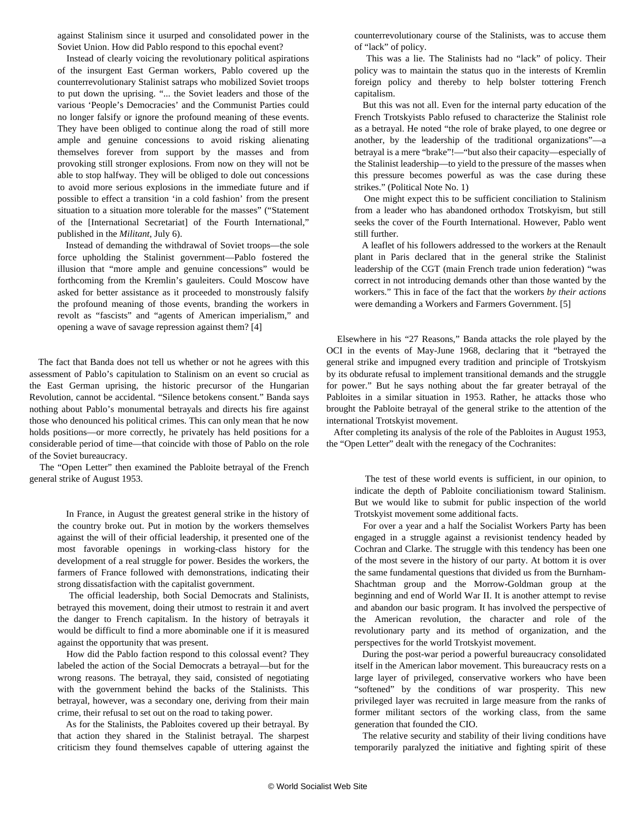against Stalinism since it usurped and consolidated power in the Soviet Union. How did Pablo respond to this epochal event?

 Instead of clearly voicing the revolutionary political aspirations of the insurgent East German workers, Pablo covered up the counterrevolutionary Stalinist satraps who mobilized Soviet troops to put down the uprising. "... the Soviet leaders and those of the various 'People's Democracies' and the Communist Parties could no longer falsify or ignore the profound meaning of these events. They have been obliged to continue along the road of still more ample and genuine concessions to avoid risking alienating themselves forever from support by the masses and from provoking still stronger explosions. From now on they will not be able to stop halfway. They will be obliged to dole out concessions to avoid more serious explosions in the immediate future and if possible to effect a transition 'in a cold fashion' from the present situation to a situation more tolerable for the masses" ("Statement of the [International Secretariat] of the Fourth International," published in the *Militant*, July 6).

 Instead of demanding the withdrawal of Soviet troops—the sole force upholding the Stalinist government—Pablo fostered the illusion that "more ample and genuine concessions" would be forthcoming from the Kremlin's gauleiters. Could Moscow have asked for better assistance as it proceeded to monstrously falsify the profound meaning of those events, branding the workers in revolt as "fascists" and "agents of American imperialism," and opening a wave of savage repression against them? [4]

 The fact that Banda does not tell us whether or not he agrees with this assessment of Pablo's capitulation to Stalinism on an event so crucial as the East German uprising, the historic precursor of the Hungarian Revolution, cannot be accidental. "Silence betokens consent." Banda says nothing about Pablo's monumental betrayals and directs his fire against those who denounced his political crimes. This can only mean that he now holds positions—or more correctly, he privately has held positions for a considerable period of time—that coincide with those of Pablo on the role of the Soviet bureaucracy.

 The "Open Letter" then examined the Pabloite betrayal of the French general strike of August 1953.

 In France, in August the greatest general strike in the history of the country broke out. Put in motion by the workers themselves against the will of their official leadership, it presented one of the most favorable openings in working-class history for the development of a real struggle for power. Besides the workers, the farmers of France followed with demonstrations, indicating their strong dissatisfaction with the capitalist government.

 The official leadership, both Social Democrats and Stalinists, betrayed this movement, doing their utmost to restrain it and avert the danger to French capitalism. In the history of betrayals it would be difficult to find a more abominable one if it is measured against the opportunity that was present.

 How did the Pablo faction respond to this colossal event? They labeled the action of the Social Democrats a betrayal—but for the wrong reasons. The betrayal, they said, consisted of negotiating with the government behind the backs of the Stalinists. This betrayal, however, was a secondary one, deriving from their main crime, their refusal to set out on the road to taking power.

 As for the Stalinists, the Pabloites covered up their betrayal. By that action they shared in the Stalinist betrayal. The sharpest criticism they found themselves capable of uttering against the counterrevolutionary course of the Stalinists, was to accuse them of "lack" of policy.

 This was a lie. The Stalinists had no "lack" of policy. Their policy was to maintain the status quo in the interests of Kremlin foreign policy and thereby to help bolster tottering French capitalism.

 But this was not all. Even for the internal party education of the French Trotskyists Pablo refused to characterize the Stalinist role as a betrayal. He noted "the role of brake played, to one degree or another, by the leadership of the traditional organizations"—a betrayal is a mere "brake"!—"but also their capacity—especially of the Stalinist leadership—to yield to the pressure of the masses when this pressure becomes powerful as was the case during these strikes." (Political Note No. 1)

 One might expect this to be sufficient conciliation to Stalinism from a leader who has abandoned orthodox Trotskyism, but still seeks the cover of the Fourth International. However, Pablo went still further.

 A leaflet of his followers addressed to the workers at the Renault plant in Paris declared that in the general strike the Stalinist leadership of the CGT (main French trade union federation) "was correct in not introducing demands other than those wanted by the workers." This in face of the fact that the workers *by their actions* were demanding a Workers and Farmers Government. [5]

 Elsewhere in his "27 Reasons," Banda attacks the role played by the OCI in the events of May-June 1968, declaring that it "betrayed the general strike and impugned every tradition and principle of Trotskyism by its obdurate refusal to implement transitional demands and the struggle for power." But he says nothing about the far greater betrayal of the Pabloites in a similar situation in 1953. Rather, he attacks those who brought the Pabloite betrayal of the general strike to the attention of the international Trotskyist movement.

 After completing its analysis of the role of the Pabloites in August 1953, the "Open Letter" dealt with the renegacy of the Cochranites:

 The test of these world events is sufficient, in our opinion, to indicate the depth of Pabloite conciliationism toward Stalinism. But we would like to submit for public inspection of the world Trotskyist movement some additional facts.

 For over a year and a half the Socialist Workers Party has been engaged in a struggle against a revisionist tendency headed by Cochran and Clarke. The struggle with this tendency has been one of the most severe in the history of our party. At bottom it is over the same fundamental questions that divided us from the Burnham-Shachtman group and the Morrow-Goldman group at the beginning and end of World War II. It is another attempt to revise and abandon our basic program. It has involved the perspective of the American revolution, the character and role of the revolutionary party and its method of organization, and the perspectives for the world Trotskyist movement.

 During the post-war period a powerful bureaucracy consolidated itself in the American labor movement. This bureaucracy rests on a large layer of privileged, conservative workers who have been "softened" by the conditions of war prosperity. This new privileged layer was recruited in large measure from the ranks of former militant sectors of the working class, from the same generation that founded the CIO.

 The relative security and stability of their living conditions have temporarily paralyzed the initiative and fighting spirit of these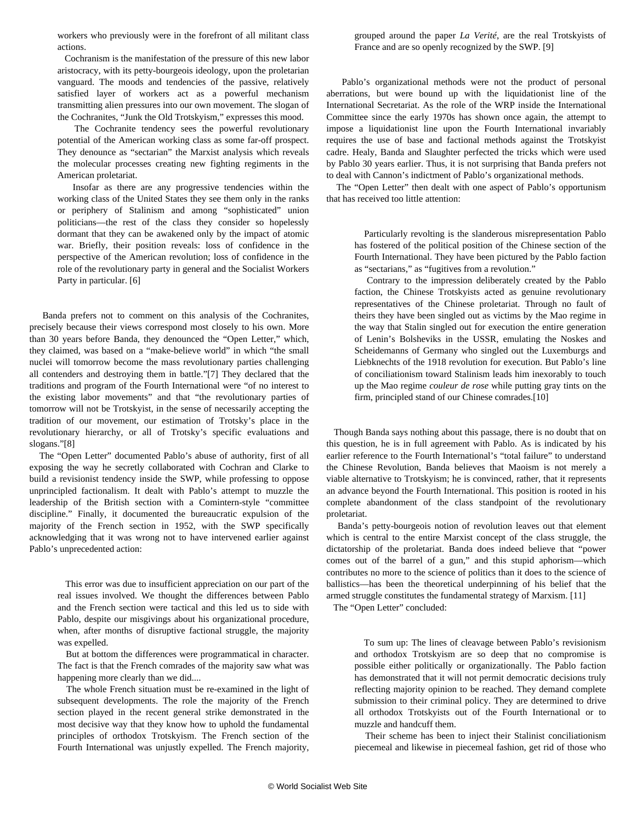workers who previously were in the forefront of all militant class actions.

 Cochranism is the manifestation of the pressure of this new labor aristocracy, with its petty-bourgeois ideology, upon the proletarian vanguard. The moods and tendencies of the passive, relatively satisfied layer of workers act as a powerful mechanism transmitting alien pressures into our own movement. The slogan of the Cochranites, "Junk the Old Trotskyism," expresses this mood.

 The Cochranite tendency sees the powerful revolutionary potential of the American working class as some far-off prospect. They denounce as "sectarian" the Marxist analysis which reveals the molecular processes creating new fighting regiments in the American proletariat.

 Insofar as there are any progressive tendencies within the working class of the United States they see them only in the ranks or periphery of Stalinism and among "sophisticated" union politicians—the rest of the class they consider so hopelessly dormant that they can be awakened only by the impact of atomic war. Briefly, their position reveals: loss of confidence in the perspective of the American revolution; loss of confidence in the role of the revolutionary party in general and the Socialist Workers Party in particular. [6]

 Banda prefers not to comment on this analysis of the Cochranites, precisely because their views correspond most closely to his own. More than 30 years before Banda, they denounced the "Open Letter," which, they claimed, was based on a "make-believe world" in which "the small nuclei will tomorrow become the mass revolutionary parties challenging all contenders and destroying them in battle."[7] They declared that the traditions and program of the Fourth International were "of no interest to the existing labor movements" and that "the revolutionary parties of tomorrow will not be Trotskyist, in the sense of necessarily accepting the tradition of our movement, our estimation of Trotsky's place in the revolutionary hierarchy, or all of Trotsky's specific evaluations and slogans."[8]

 The "Open Letter" documented Pablo's abuse of authority, first of all exposing the way he secretly collaborated with Cochran and Clarke to build a revisionist tendency inside the SWP, while professing to oppose unprincipled factionalism. It dealt with Pablo's attempt to muzzle the leadership of the British section with a Comintern-style "committee discipline." Finally, it documented the bureaucratic expulsion of the majority of the French section in 1952, with the SWP specifically acknowledging that it was wrong not to have intervened earlier against Pablo's unprecedented action:

 This error was due to insufficient appreciation on our part of the real issues involved. We thought the differences between Pablo and the French section were tactical and this led us to side with Pablo, despite our misgivings about his organizational procedure, when, after months of disruptive factional struggle, the majority was expelled.

 But at bottom the differences were programmatical in character. The fact is that the French comrades of the majority saw what was happening more clearly than we did....

 The whole French situation must be re-examined in the light of subsequent developments. The role the majority of the French section played in the recent general strike demonstrated in the most decisive way that they know how to uphold the fundamental principles of orthodox Trotskyism. The French section of the Fourth International was unjustly expelled. The French majority,

grouped around the paper *La Verité*, are the real Trotskyists of France and are so openly recognized by the SWP. [9]

 Pablo's organizational methods were not the product of personal aberrations, but were bound up with the liquidationist line of the International Secretariat. As the role of the WRP inside the International Committee since the early 1970s has shown once again, the attempt to impose a liquidationist line upon the Fourth International invariably requires the use of base and factional methods against the Trotskyist cadre. Healy, Banda and Slaughter perfected the tricks which were used by Pablo 30 years earlier. Thus, it is not surprising that Banda prefers not to deal with Cannon's indictment of Pablo's organizational methods.

 The "Open Letter" then dealt with one aspect of Pablo's opportunism that has received too little attention:

 Particularly revolting is the slanderous misrepresentation Pablo has fostered of the political position of the Chinese section of the Fourth International. They have been pictured by the Pablo faction as "sectarians," as "fugitives from a revolution."

 Contrary to the impression deliberately created by the Pablo faction, the Chinese Trotskyists acted as genuine revolutionary representatives of the Chinese proletariat. Through no fault of theirs they have been singled out as victims by the Mao regime in the way that Stalin singled out for execution the entire generation of Lenin's Bolsheviks in the USSR, emulating the Noskes and Scheidemanns of Germany who singled out the Luxemburgs and Liebknechts of the 1918 revolution for execution. But Pablo's line of conciliationism toward Stalinism leads him inexorably to touch up the Mao regime *couleur de rose* while putting gray tints on the firm, principled stand of our Chinese comrades.[10]

 Though Banda says nothing about this passage, there is no doubt that on this question, he is in full agreement with Pablo. As is indicated by his earlier reference to the Fourth International's "total failure" to understand the Chinese Revolution, Banda believes that Maoism is not merely a viable alternative to Trotskyism; he is convinced, rather, that it represents an advance beyond the Fourth International. This position is rooted in his complete abandonment of the class standpoint of the revolutionary proletariat.

 Banda's petty-bourgeois notion of revolution leaves out that element which is central to the entire Marxist concept of the class struggle, the dictatorship of the proletariat. Banda does indeed believe that "power comes out of the barrel of a gun," and this stupid aphorism—which contributes no more to the science of politics than it does to the science of ballistics—has been the theoretical underpinning of his belief that the armed struggle constitutes the fundamental strategy of Marxism. [11]

The "Open Letter" concluded:

 To sum up: The lines of cleavage between Pablo's revisionism and orthodox Trotskyism are so deep that no compromise is possible either politically or organizationally. The Pablo faction has demonstrated that it will not permit democratic decisions truly reflecting majority opinion to be reached. They demand complete submission to their criminal policy. They are determined to drive all orthodox Trotskyists out of the Fourth International or to muzzle and handcuff them.

 Their scheme has been to inject their Stalinist conciliationism piecemeal and likewise in piecemeal fashion, get rid of those who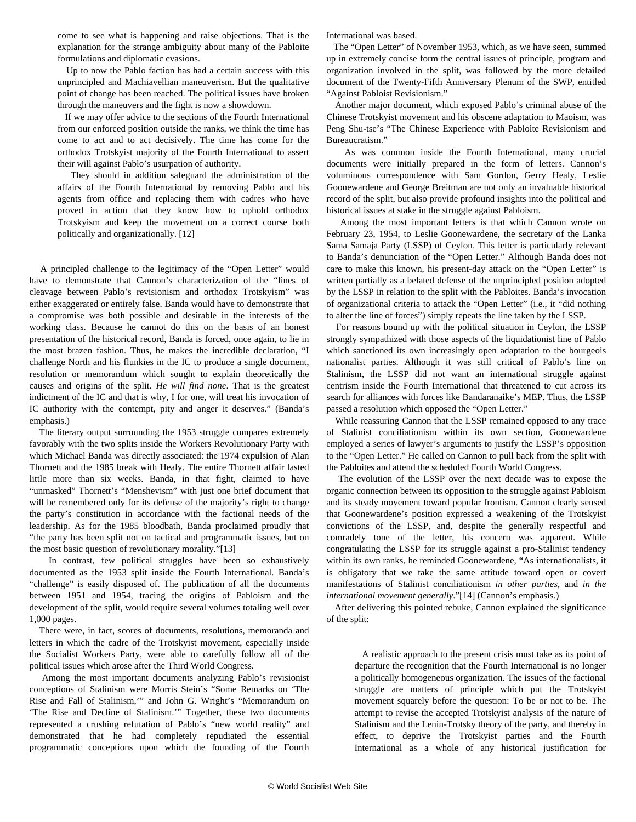come to see what is happening and raise objections. That is the explanation for the strange ambiguity about many of the Pabloite formulations and diplomatic evasions.

 Up to now the Pablo faction has had a certain success with this unprincipled and Machiavellian maneuverism. But the qualitative point of change has been reached. The political issues have broken through the maneuvers and the fight is now a showdown.

 If we may offer advice to the sections of the Fourth International from our enforced position outside the ranks, we think the time has come to act and to act decisively. The time has come for the orthodox Trotskyist majority of the Fourth International to assert their will against Pablo's usurpation of authority.

 They should in addition safeguard the administration of the affairs of the Fourth International by removing Pablo and his agents from office and replacing them with cadres who have proved in action that they know how to uphold orthodox Trotskyism and keep the movement on a correct course both politically and organizationally. [12]

 A principled challenge to the legitimacy of the "Open Letter" would have to demonstrate that Cannon's characterization of the "lines of cleavage between Pablo's revisionism and orthodox Trotskyism" was either exaggerated or entirely false. Banda would have to demonstrate that a compromise was both possible and desirable in the interests of the working class. Because he cannot do this on the basis of an honest presentation of the historical record, Banda is forced, once again, to lie in the most brazen fashion. Thus, he makes the incredible declaration, "I challenge North and his flunkies in the IC to produce a single document, resolution or memorandum which sought to explain theoretically the causes and origins of the split. *He will find none*. That is the greatest indictment of the IC and that is why, I for one, will treat his invocation of IC authority with the contempt, pity and anger it deserves." (Banda's emphasis.)

 The literary output surrounding the 1953 struggle compares extremely favorably with the two splits inside the Workers Revolutionary Party with which Michael Banda was directly associated: the 1974 expulsion of Alan Thornett and the 1985 break with Healy. The entire Thornett affair lasted little more than six weeks. Banda, in that fight, claimed to have "unmasked" Thornett's "Menshevism" with just one brief document that will be remembered only for its defense of the majority's right to change the party's constitution in accordance with the factional needs of the leadership. As for the 1985 bloodbath, Banda proclaimed proudly that "the party has been split not on tactical and programmatic issues, but on the most basic question of revolutionary morality."[13]

 In contrast, few political struggles have been so exhaustively documented as the 1953 split inside the Fourth International. Banda's "challenge" is easily disposed of. The publication of all the documents between 1951 and 1954, tracing the origins of Pabloism and the development of the split, would require several volumes totaling well over 1,000 pages.

 There were, in fact, scores of documents, resolutions, memoranda and letters in which the cadre of the Trotskyist movement, especially inside the Socialist Workers Party, were able to carefully follow all of the political issues which arose after the Third World Congress.

 Among the most important documents analyzing Pablo's revisionist conceptions of Stalinism were Morris Stein's "Some Remarks on 'The Rise and Fall of Stalinism,'" and John G. Wright's "Memorandum on 'The Rise and Decline of Stalinism.'" Together, these two documents represented a crushing refutation of Pablo's "new world reality" and demonstrated that he had completely repudiated the essential programmatic conceptions upon which the founding of the Fourth International was based.

 The "Open Letter" of November 1953, which, as we have seen, summed up in extremely concise form the central issues of principle, program and organization involved in the split, was followed by the more detailed document of the Twenty-Fifth Anniversary Plenum of the SWP, entitled "Against Pabloist Revisionism."

 Another major document, which exposed Pablo's criminal abuse of the Chinese Trotskyist movement and his obscene adaptation to Maoism, was Peng Shu-tse's "The Chinese Experience with Pabloite Revisionism and Bureaucratism."

 As was common inside the Fourth International, many crucial documents were initially prepared in the form of letters. Cannon's voluminous correspondence with Sam Gordon, Gerry Healy, Leslie Goonewardene and George Breitman are not only an invaluable historical record of the split, but also provide profound insights into the political and historical issues at stake in the struggle against Pabloism.

 Among the most important letters is that which Cannon wrote on February 23, 1954, to Leslie Goonewardene, the secretary of the Lanka Sama Samaja Party (LSSP) of Ceylon. This letter is particularly relevant to Banda's denunciation of the "Open Letter." Although Banda does not care to make this known, his present-day attack on the "Open Letter" is written partially as a belated defense of the unprincipled position adopted by the LSSP in relation to the split with the Pabloites. Banda's invocation of organizational criteria to attack the "Open Letter" (i.e., it "did nothing to alter the line of forces") simply repeats the line taken by the LSSP.

 For reasons bound up with the political situation in Ceylon, the LSSP strongly sympathized with those aspects of the liquidationist line of Pablo which sanctioned its own increasingly open adaptation to the bourgeois nationalist parties. Although it was still critical of Pablo's line on Stalinism, the LSSP did not want an international struggle against centrism inside the Fourth International that threatened to cut across its search for alliances with forces like Bandaranaike's MEP. Thus, the LSSP passed a resolution which opposed the "Open Letter."

 While reassuring Cannon that the LSSP remained opposed to any trace of Stalinist conciliationism within its own section, Goonewardene employed a series of lawyer's arguments to justify the LSSP's opposition to the "Open Letter." He called on Cannon to pull back from the split with the Pabloites and attend the scheduled Fourth World Congress.

 The evolution of the LSSP over the next decade was to expose the organic connection between its opposition to the struggle against Pabloism and its steady movement toward popular frontism. Cannon clearly sensed that Goonewardene's position expressed a weakening of the Trotskyist convictions of the LSSP, and, despite the generally respectful and comradely tone of the letter, his concern was apparent. While congratulating the LSSP for its struggle against a pro-Stalinist tendency within its own ranks, he reminded Goonewardene, "As internationalists, it is obligatory that we take the same attitude toward open or covert manifestations of Stalinist conciliationism *in other parties*, and *in the international movement generally*."[14] (Cannon's emphasis.)

 After delivering this pointed rebuke, Cannon explained the significance of the split:

 A realistic approach to the present crisis must take as its point of departure the recognition that the Fourth International is no longer a politically homogeneous organization. The issues of the factional struggle are matters of principle which put the Trotskyist movement squarely before the question: To be or not to be. The attempt to revise the accepted Trotskyist analysis of the nature of Stalinism and the Lenin-Trotsky theory of the party, and thereby in effect, to deprive the Trotskyist parties and the Fourth International as a whole of any historical justification for